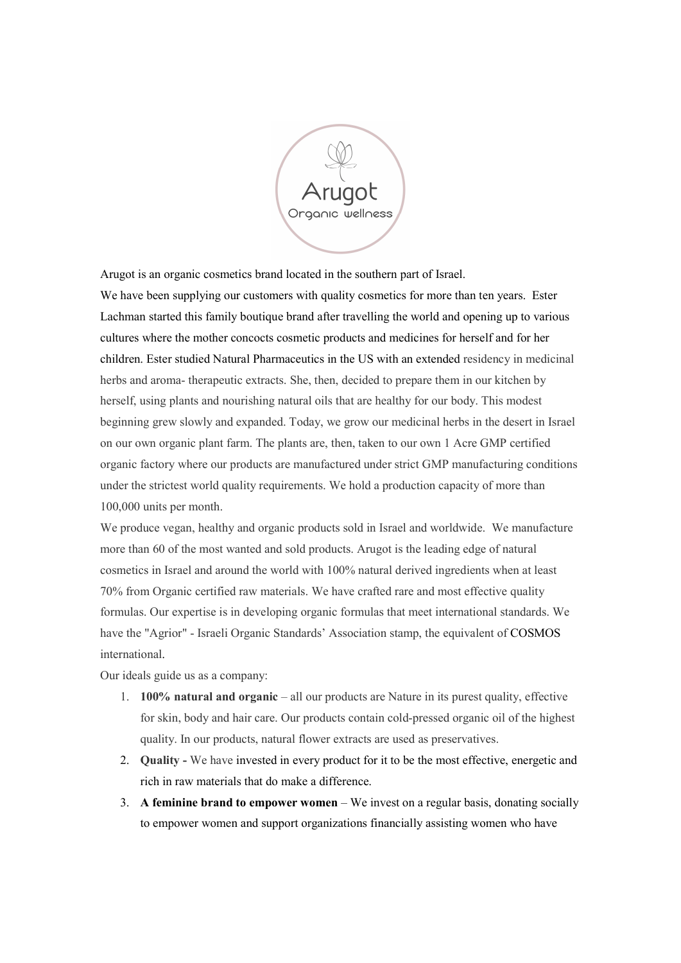

Arugot is an organic cosmetics brand located in the southern part of Israel.

We have been supplying our customers with quality cosmetics for more than ten years. Ester Lachman started this family boutique brand after travelling the world and opening up to various cultures where the mother concocts cosmetic products and medicines for herself and for her children. Ester studied Natural Pharmaceutics in the US with an extended residency in medicinal herbs and aroma- therapeutic extracts. She, then, decided to prepare them in our kitchen by herself, using plants and nourishing natural oils that are healthy for our body. This modest beginning grew slowly and expanded. Today, we grow our medicinal herbs in the desert in Israel on our own organic plant farm. The plants are, then, taken to our own 1 Acre GMP certified organic factory where our products are manufactured under strict GMP manufacturing conditions under the strictest world quality requirements. We hold a production capacity of more than 100,000 units per month.

We produce vegan, healthy and organic products sold in Israel and worldwide. We manufacture more than 60 of the most wanted and sold products. Arugot is the leading edge of natural cosmetics in Israel and around the world with 100% natural derived ingredients when at least 70% from Organic certified raw materials. We have crafted rare and most effective quality formulas. Our expertise is in developing organic formulas that meet international standards. We have the "Agrior" - Israeli Organic Standards' Association stamp, the equivalent of COSMOS international.

Our ideals guide us as a company:

- 1. 100% natural and organic all our products are Nature in its purest quality, effective for skin, body and hair care. Our products contain cold-pressed organic oil of the highest quality. In our products, natural flower extracts are used as preservatives.
- 2. Quality We have invested in every product for it to be the most effective, energetic and rich in raw materials that do make a difference.
- 3. A feminine brand to empower women We invest on a regular basis, donating socially to empower women and support organizations financially assisting women who have